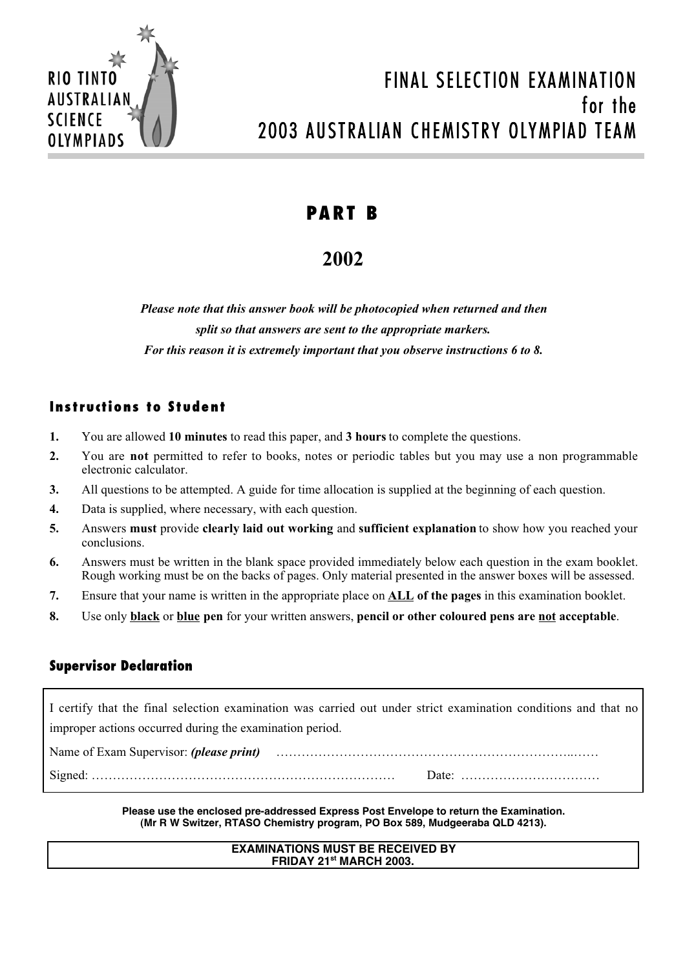

# FINAL SELECTION EXAMINATION for the 2003 AUSTRALIAN CHEMISTRY OLYMPIAD TEAM

# **PART B**

# **2002**

*Please note that this answer book will be photocopied when returned and then split so that answers are sent to the appropriate markers. For this reason it is extremely important that you observe instructions 6 to 8.*

# **Instructions to Student**

- **1.** You are allowed **10 minutes** to read this paper, and **3 hours** to complete the questions.
- **2.** You are **not** permitted to refer to books, notes or periodic tables but you may use a non programmable electronic calculator.
- **3.** All questions to be attempted. A guide for time allocation is supplied at the beginning of each question.
- **4.** Data is supplied, where necessary, with each question.
- **5.** Answers **must** provide **clearly laid out working** and **sufficient explanation** to show how you reached your conclusions.
- **6.** Answers must be written in the blank space provided immediately below each question in the exam booklet. Rough working must be on the backs of pages. Only material presented in the answer boxes will be assessed.
- **7.** Ensure that your name is written in the appropriate place on **ALL of the pages** in this examination booklet.
- **8.** Use only **black** or **blue pen** for your written answers, **pencil or other coloured pens are not acceptable**.

# **Supervisor Declaration**

I certify that the final selection examination was carried out under strict examination conditions and that no improper actions occurred during the examination period.

Name of Exam Supervisor: *(please print)* ……………………………………………………………..…… Signed: ……………………………………………………………… Date: ……………………………

> **Please use the enclosed pre-addressed Express Post Envelope to return the Examination. (Mr R W Switzer, RTASO Chemistry program, PO Box 589, Mudgeeraba QLD 4213).**

### **EXAMINATIONS MUST BE RECEIVED BY FRIDAY 21st MARCH 2003.**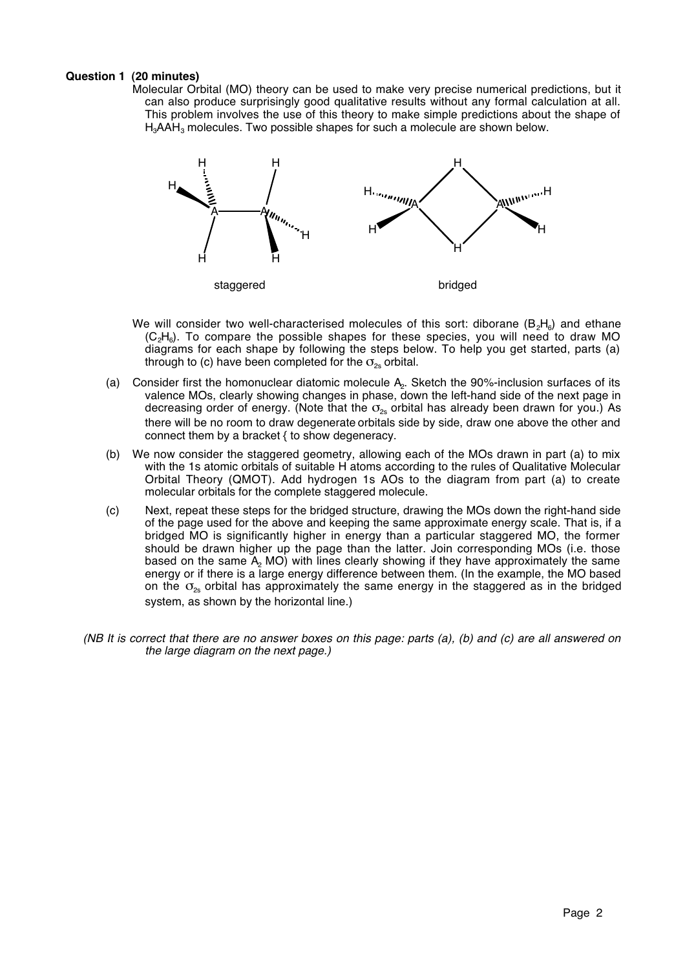#### **Question 1 (20 minutes)**

Molecular Orbital (MO) theory can be used to make very precise numerical predictions, but it can also produce surprisingly good qualitative results without any formal calculation at all. This problem involves the use of this theory to make simple predictions about the shape of  $H<sub>3</sub>AAH<sub>3</sub>$  molecules. Two possible shapes for such a molecule are shown below.



- We will consider two well-characterised molecules of this sort: diborane  $(B_2H_6)$  and ethane (C<sub>2</sub>H<sub>6</sub>). To compare the possible shapes for these species, you will need to draw MO diagrams for each shape by following the steps below. To help you get started, parts (a) through to (c) have been completed for the  $\sigma_{2s}$  orbital.
- (a) Consider first the homonuclear diatomic molecule  $A<sub>2</sub>$ . Sketch the 90%-inclusion surfaces of its valence MOs, clearly showing changes in phase, down the left-hand side of the next page in decreasing order of energy. (Note that the  $\sigma_{2s}$  orbital has already been drawn for you.) As there will be no room to draw degenerate orbitals side by side, draw one above the other and connect them by a bracket { to show degeneracy.
- (b) We now consider the staggered geometry, allowing each of the MOs drawn in part (a) to mix with the 1s atomic orbitals of suitable H atoms according to the rules of Qualitative Molecular Orbital Theory (QMOT). Add hydrogen 1s AOs to the diagram from part (a) to create molecular orbitals for the complete staggered molecule.
- (c) Next, repeat these steps for the bridged structure, drawing the MOs down the right-hand side of the page used for the above and keeping the same approximate energy scale. That is, if a bridged MO is significantly higher in energy than a particular staggered MO, the former should be drawn higher up the page than the latter. Join corresponding MOs (i.e. those based on the same A2 MO) with lines clearly showing if they have approximately the same energy or if there is a large energy difference between them. (In the example, the MO based on the  $\sigma_{2s}$  orbital has approximately the same energy in the staggered as in the bridged system, as shown by the horizontal line.)
- (NB It is correct that there are no answer boxes on this page: parts (a), (b) and (c) are all answered on the large diagram on the next page.)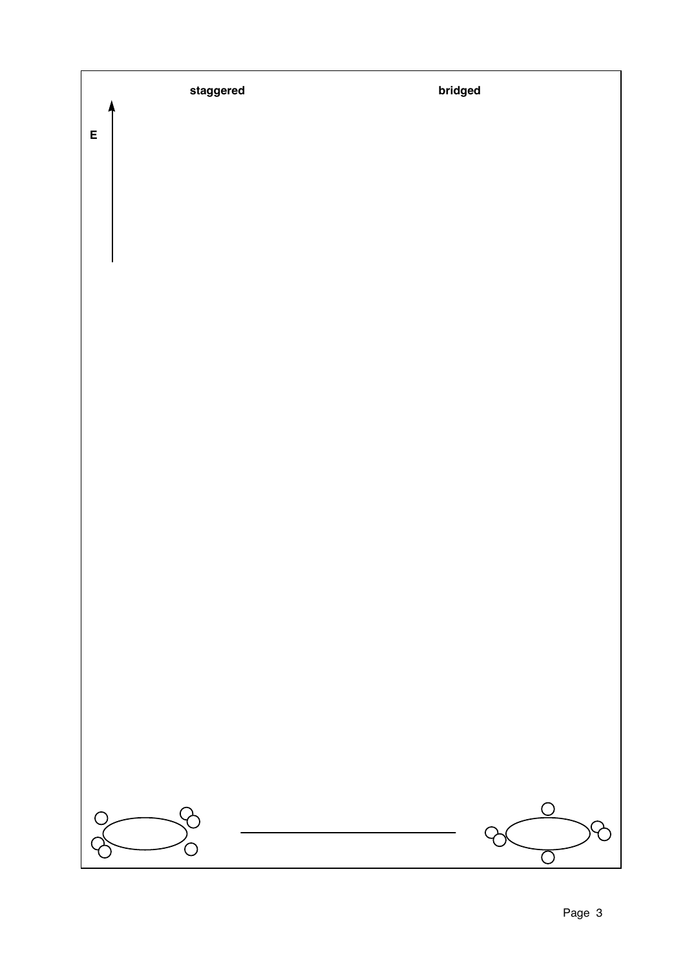**staggered bridged**

**E**

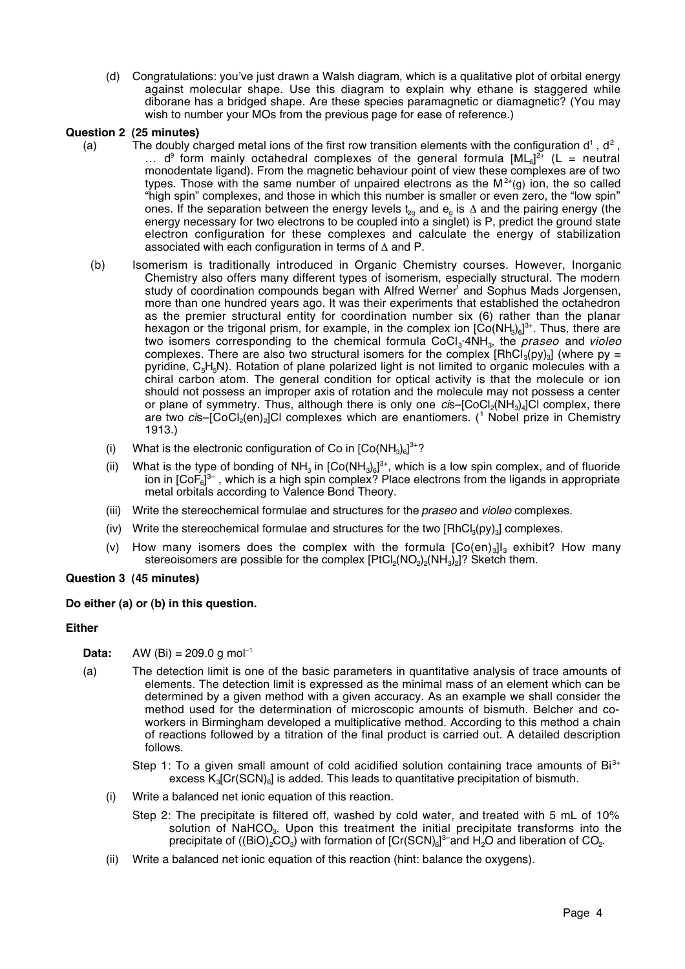(d) Congratulations: you've just drawn a Walsh diagram, which is a qualitative plot of orbital energy against molecular shape. Use this diagram to explain why ethane is staggered while diborane has a bridged shape. Are these species paramagnetic or diamagnetic? (You may wish to number your MOs from the previous page for ease of reference.)

#### **Question 2 (25 minutes)**

- (a) The doubly charged metal ions of the first row transition elements with the configuration  $d^1$ ,  $d^2$ , ...  $d^9$  form mainly octahedral complexes of the general formula  $[ML_6]^{2+}$  (L = neutral monodentate ligand). From the magnetic behaviour point of view these complexes are of two types. Those with the same number of unpaired electrons as the  $M^{2+}(q)$  ion, the so called "high spin" complexes, and those in which this number is smaller or even zero, the "low spin" ones. If the separation between the energy levels  $t_{2q}$  and  $e_q$  is  $\Delta$  and the pairing energy (the energy necessary for two electrons to be coupled into a singlet) is P, predict the ground state electron configuration for these complexes and calculate the energy of stabilization associated with each configuration in terms of ∆ and P.
	- (b) Isomerism is traditionally introduced in Organic Chemistry courses. However, Inorganic Chemistry also offers many different types of isomerism, especially structural. The modern study of coordination compounds began with Alfred Werner<sup>1</sup> and Sophus Mads Jorgensen, more than one hundred years ago. It was their experiments that established the octahedron as the premier structural entity for coordination number six (6) rather than the planar hexagon or the trigonal prism, for example, in the complex ion  $[\mathrm{Co}(\mathrm{NH}_3)_6]^{3+}$ . Thus, there are two isomers corresponding to the chemical formula  $CoCl<sub>3</sub>$  4NH<sub>3</sub>, the *praseo* and *violeo* complexes. There are also two structural isomers for the complex  $[RhCi<sub>3</sub>(py)<sub>3</sub>]$  (where py = pyridine,  $C_5H_5N$ ). Rotation of plane polarized light is not limited to organic molecules with a chiral carbon atom. The general condition for optical activity is that the molecule or ion should not possess an improper axis of rotation and the molecule may not possess a center or plane of symmetry. Thus, although there is only one  $c$ is–[CoCl<sub>2</sub>(NH<sub>3</sub>)<sub>4</sub>]Cl complex, there are two *ci*s–[CoCl<sub>2</sub>(en)<sub>2</sub>]Cl complexes which are enantiomers. (<sup>1</sup> Nobel prize in Chemistry 1913.)
		- (i) What is the electronic configuration of Co in  $[Co(NH_3)_6]^{3+}$ ?
		- (ii) What is the type of bonding of NH<sub>3</sub> in  $[Co(NH_3)_6]^{3+}$ , which is a low spin complex, and of fluoride ion in [CoF<sub>6</sub>]<sup>3-</sup> , which is a high spin complex? Place electrons from the ligands in appropriate metal orbitals according to Valence Bond Theory.
		- (iii) Write the stereochemical formulae and structures for the *praseo* and *violeo* complexes.
		- (iv) Write the stereochemical formulae and structures for the two  $[RhCl<sub>3</sub>(py)<sub>3</sub>]$  complexes.
		- (v) How many isomers does the complex with the formula  $[Co(en)]_3$ ] exhibit? How many stereoisomers are possible for the complex  $[PtCl_2(NO_2)_2(NH_3)_2]^2$ ? Sketch them.

### **Question 3 (45 minutes)**

### **Do either (a) or (b) in this question.**

#### **Either**

- **Data:** AW (Bi) =  $209.0 \text{ g mol}^{-1}$
- (a) The detection limit is one of the basic parameters in quantitative analysis of trace amounts of elements. The detection limit is expressed as the minimal mass of an element which can be determined by a given method with a given accuracy. As an example we shall consider the method used for the determination of microscopic amounts of bismuth. Belcher and coworkers in Birmingham developed a multiplicative method. According to this method a chain of reactions followed by a titration of the final product is carried out. A detailed description follows.
	- Step 1: To a given small amount of cold acidified solution containing trace amounts of  $Bi<sup>3+</sup>$ excess  $K_3[Cr(SCN)_6]$  is added. This leads to quantitative precipitation of bismuth.
	- (i) Write a balanced net ionic equation of this reaction.
		- Step 2: The precipitate is filtered off, washed by cold water, and treated with 5 mL of 10% solution of NaHCO<sub>3</sub>. Upon this treatment the initial precipitate transforms into the precipitate of ((BiO)<sub>2</sub>CO<sub>3</sub>) with formation of [Cr(SCN)<sub>6</sub>]<sup>3-</sup>and H<sub>2</sub>O and liberation of CO<sub>2</sub>.
	- (ii) Write a balanced net ionic equation of this reaction (hint: balance the oxygens).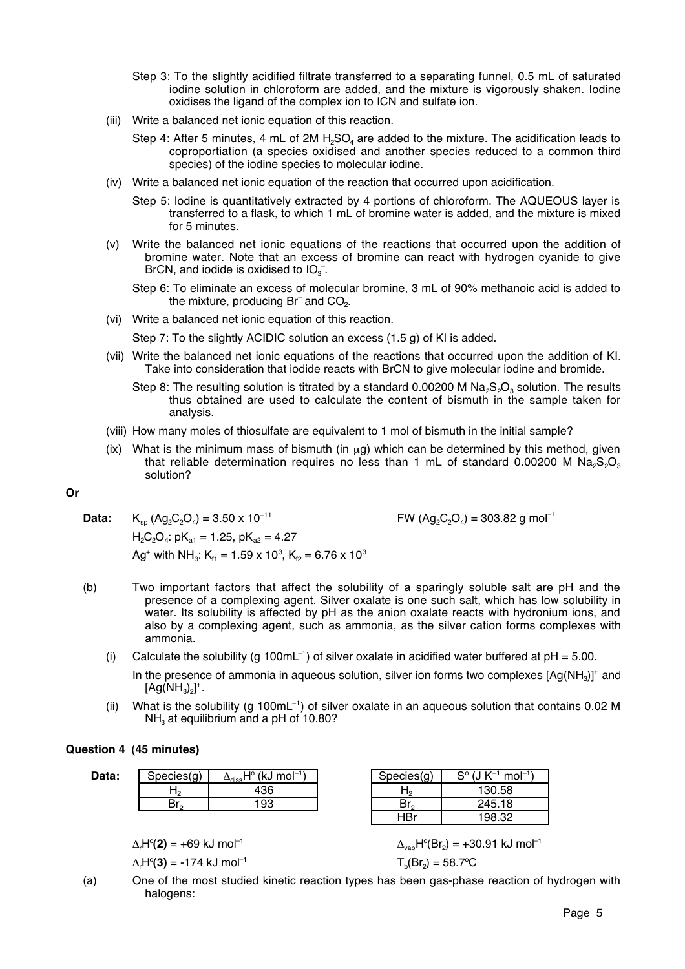- Step 3: To the slightly acidified filtrate transferred to a separating funnel, 0.5 mL of saturated iodine solution in chloroform are added, and the mixture is vigorously shaken. Iodine oxidises the ligand of the complex ion to ICN and sulfate ion.
- (iii) Write a balanced net ionic equation of this reaction.
	- Step 4: After 5 minutes, 4 mL of 2M H<sub>2</sub>SO<sub>4</sub> are added to the mixture. The acidification leads to coproportiation (a species oxidised and another species reduced to a common third species) of the iodine species to molecular iodine.
- (iv) Write a balanced net ionic equation of the reaction that occurred upon acidification.
	- Step 5: Iodine is quantitatively extracted by 4 portions of chloroform. The AQUEOUS layer is transferred to a flask, to which 1 mL of bromine water is added, and the mixture is mixed for 5 minutes.
- (v) Write the balanced net ionic equations of the reactions that occurred upon the addition of bromine water. Note that an excess of bromine can react with hydrogen cyanide to give BrCN, and iodide is oxidised to  $IO_{3}^{-}$ .
	- Step 6: To eliminate an excess of molecular bromine, 3 mL of 90% methanoic acid is added to the mixture, producing Br<sup>-</sup> and  $\rm CO_{2}$ .
- (vi) Write a balanced net ionic equation of this reaction.

Step 7: To the slightly ACIDIC solution an excess (1.5 g) of KI is added.

- (vii) Write the balanced net ionic equations of the reactions that occurred upon the addition of KI. Take into consideration that iodide reacts with BrCN to give molecular iodine and bromide.
	- Step 8: The resulting solution is titrated by a standard 0.00200 M Na<sub>2</sub>S<sub>2</sub>O<sub>2</sub> solution. The results thus obtained are used to calculate the content of bismuth in the sample taken for analysis.
- (viii) How many moles of thiosulfate are equivalent to 1 mol of bismuth in the initial sample?
- $(ix)$  What is the minimum mass of bismuth (in  $\mu q$ ) which can be determined by this method, given that reliable determination requires no less than 1 mL of standard  $0.00200$  M Na<sub>2</sub>S<sub>2</sub>O<sub>3</sub> solution?

### **Or**

**Data:**  $K_{\text{so}} (Ag_2C_2O_4) = 3.50 \times 10^{-11}$  FW  $(Ag_2C_2O_4) = 303.82 \text{ g mol}^{-1}$  $H_2C_2O_4$ : pK<sub>a1</sub> = 1.25, pK<sub>a2</sub> = 4.27 Ag<sup>+</sup> with NH<sub>3</sub>: K<sub>f1</sub> = 1.59 x 10<sup>3</sup>, K<sub>f2</sub> = 6.76 x 10<sup>3</sup>

- (b) Two important factors that affect the solubility of a sparingly soluble salt are pH and the presence of a complexing agent. Silver oxalate is one such salt, which has low solubility in water. Its solubility is affected by pH as the anion oxalate reacts with hydronium ions, and also by a complexing agent, such as ammonia, as the silver cation forms complexes with ammonia.
	- (i) Calculate the solubility (g 100mL<sup>-1</sup>) of silver oxalate in acidified water buffered at  $pH = 5.00$ .
		- In the presence of ammonia in aqueous solution, silver ion forms two complexes  $[Aq(NH<sub>3</sub>)]^+$  and  $[Ag(NH<sub>3</sub>)<sub>2</sub>]<sup>+</sup>.$
	- (ii) What is the solubility (g 100mL<sup>-1</sup>) of silver oxalate in an aqueous solution that contains 0.02 M  $NH<sub>3</sub>$  at equilibrium and a pH of 10.80?

### **Question 4 (45 minutes)**

Data: Species(g) *∆* 

| ODECIESIUI | $\Delta_\text{diss}$ Г<br>INJ IIIVI | <b>SPECIESIUI</b> | ш         |
|------------|-------------------------------------|-------------------|-----------|
|            | юC                                  | œ                 | .58       |
| .<br>، ا ب | 93                                  |                   | 18<br>245 |
|            |                                     |                   |           |

 $(1, 10, 7)$  model<sup>-1</sup>)

 $\Delta_r$ H°(**2)** = +69 kJ mol<sup>-1</sup>  $\Delta_{\text{vap}}$ H°

| Species(q) | $S^{\circ}$ (J K <sup>-1</sup> mol <sup>-1</sup> ) |
|------------|----------------------------------------------------|
|            | 130.58                                             |
| Br。        | 245.18                                             |
| HBr        | 198.32                                             |

$$
\Delta_r H^o(\mathbf{2}) = +69 \text{ kJ mol}^{-1}
$$
\n
$$
\Delta_{\text{vap}} H^o(\text{Br}_2) = +30.91 \text{ kJ mol}^{-1}
$$
\n
$$
\Delta_r H^o(\mathbf{3}) = -174 \text{ kJ mol}^{-1}
$$
\n
$$
\Gamma_{\text{b}}(Br_2) = 58.7^{\circ}\text{C}
$$

(a) One of the most studied kinetic reaction types has been gas-phase reaction of hydrogen with halogens: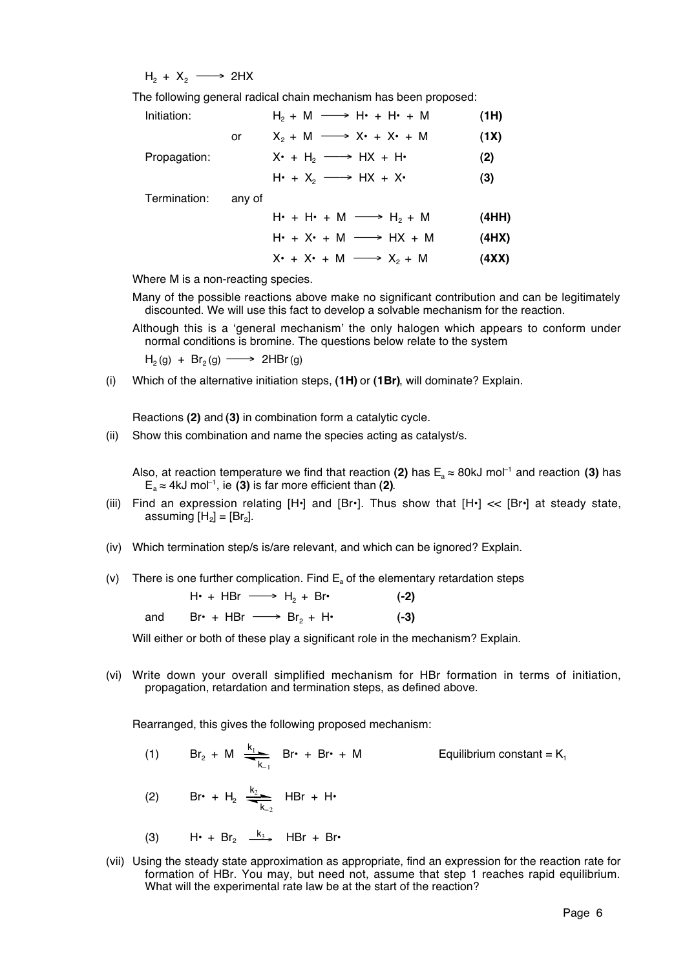$H_2 + X_2 \longrightarrow 2HX$ 

The following general radical chain mechanism has been proposed:

| Initiation:  |        | $H_2 + M \longrightarrow H_1 + H_2 + M$                   | (1H)  |
|--------------|--------|-----------------------------------------------------------|-------|
|              | or     | $X_2 + M \longrightarrow X^* + X^* + M$                   | (1X)  |
| Propagation: |        | $X \cdot + H_2 \longrightarrow HX + H \cdot$              | (2)   |
|              |        | $H\cdot + X_2 \longrightarrow HX + X\cdot$                | (3)   |
| Termination: | any of |                                                           |       |
|              |        | $H_1 \cdot + H_2 \cdot + M \longrightarrow H_2 \cdot + M$ | (4HH) |
|              |        | $H_1 \cdot + X_2 \cdot + M \longrightarrow HX + M$        | (4HX) |
|              |        | $X^* + X^* + M \longrightarrow X_2 + M$                   | (4XX) |

Where M is a non-reacting species.

Many of the possible reactions above make no significant contribution and can be legitimately discounted. We will use this fact to develop a solvable mechanism for the reaction.

Although this is a 'general mechanism' the only halogen which appears to conform under normal conditions is bromine. The questions below relate to the system

 $H_2(g) + Br_2(g) \longrightarrow 2HBr(g)$ 

(i) Which of the alternative initiation steps, **(1H)** or **(1Br)**, will dominate? Explain.

Reactions **(2)** and **(3)** in combination form a catalytic cycle.

(ii) Show this combination and name the species acting as catalyst/s.

Also, at reaction temperature we find that reaction (2) has  $E_a \approx 80$ kJ mol<sup>-1</sup> and reaction (3) has  $E_a \approx 4kJ$  mol<sup>-1</sup>, ie **(3)** is far more efficient than **(2)**.

- (iii) Find an expression relating  $[H^*]$  and  $[Br^*]$ . Thus show that  $[H^*] \ll [Br^*]$  at steady state, assuming  $[H_2] = [Br_2]$ .
- (iv) Which termination step/s is/are relevant, and which can be ignored? Explain.
- (v) There is one further complication. Find  $E_a$  of the elementary retardation steps

|     | $H\cdot + HBr \longrightarrow H_2 + Br\cdot$ | $(-2)$ |
|-----|----------------------------------------------|--------|
| and | $Br^* + HBr \longrightarrow Br^{}_{2} + H^*$ | $(-3)$ |

Will either or both of these play a significant role in the mechanism? Explain.

(vi) Write down your overall simplified mechanism for HBr formation in terms of initiation, propagation, retardation and termination steps, as defined above.

Rearranged, this gives the following proposed mechanism:

- (1)  $Br_2 + M = \frac{k_1}{2}$  $k_{-1}$ Equilibrium constant =  $K_1$
- (2) Br• + H<sub>2</sub>  $\frac{k_2}{4}$  $k_{-2}$ HBr + H•
- (3) H• + Br<sub>2</sub>  $\frac{k_3}{2}$  HBr + Br•
- (vii) Using the steady state approximation as appropriate, find an expression for the reaction rate for formation of HBr. You may, but need not, assume that step 1 reaches rapid equilibrium. What will the experimental rate law be at the start of the reaction?